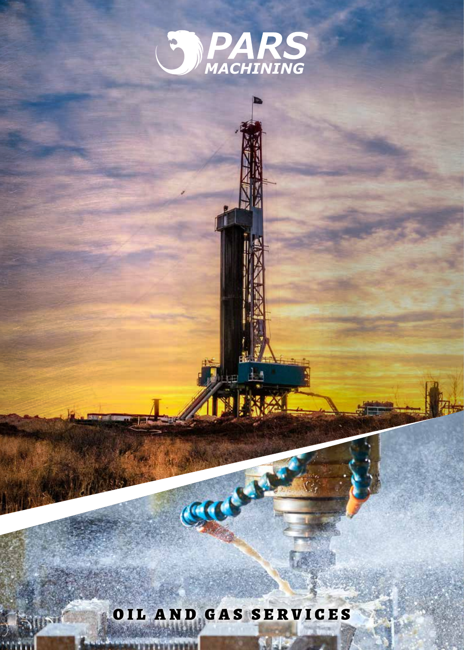

### OIL AND GAS SERVICES

**NAME OF THE REAL PROPERTY** 

CECCAM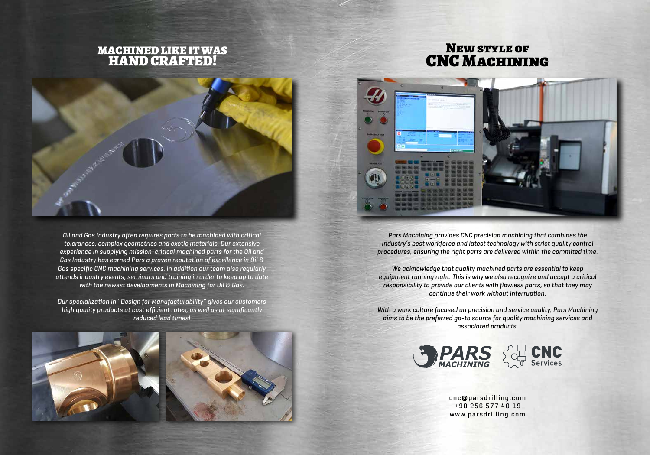*Pars Machining provides CNC precision machining that combines the industry's best workforce and latest technology with strict quality control procedures, ensuring the right parts are delivered within the commited time.*

*We acknowledge that quality machined parts are essential to keep equipment running right. This is why we also recognize and accept a critical responsibility to provide our clients with flawless parts, so that they may continue their work without interruption.*

*With a work culture focused on precision and service quality, Pars Machining aims to be the preferred go-to source for quality machining services and associated products.*

### New style of **CNC MACHINING**



*Oil and Gas Industry often requires parts to be machined with critical tolerances, complex geometries and exotic materials. Our extensive experience in supplying mission-critical machined parts for the Oil and Gas Industry has earned Pars a proven reputation of excellence in Oil & Gas specific CNC machining services. In addition our team also regularly attends industry events, seminars and training in order to keep up to date with the newest developments in Machining for Oil & Gas.* 

*Our specialization in "Design for Manufacturability" gives our customers high quality products at cost efficient rates, as well as at significantly reduced lead times!*



#### MACHINED LIKE IT WAS HAND CRAFTED!



cnc@parsdrilling.com +90 256 577 40 19 www.parsdrilling.com





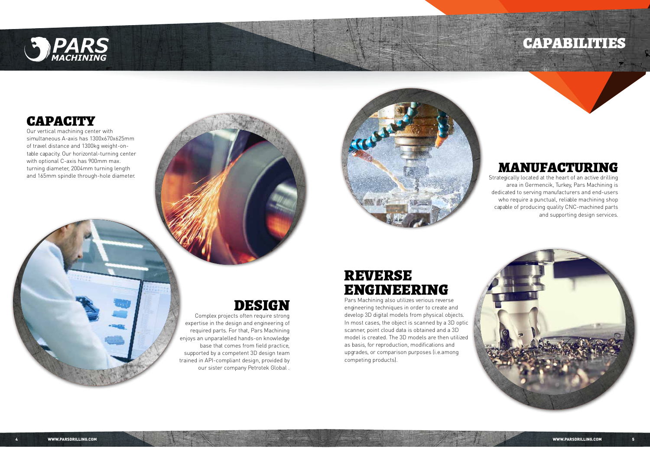

## CAPACITY

Our vertical machining center with simultaneous A-axis has 1300x670x625mm of travel distance and 1300kg weight-ontable capacity. Our horizontal-turning center with optional C-axis has 900mm max. turning diameter, 2004mm turning length and 165mm spindle through-hole diameter.



#### MANUFACTURING

Strategically located at the heart of an active drilling area in Germencik, Turkey, Pars Machining is dedicated to serving manufacturers and end-users who require a punctual, reliable machining shop capable of producing quality CNC-machined parts and supporting design services.



# DESIGN

Complex projects often require strong expertise in the design and engineering of required parts. For that, Pars Machining enjoys an unparalelled hands-on knowledge base that comes from field practice, supported by a competent 3D design team trained in API-compliant design, provided by our sister company Petrotek Global .

#### REVERSE ENGINEERING Pars Machining also utilizes verious reverse

engineering techniques in order to create and develop 3D digital models from physical objects. In most cases, the object is scanned by a 3D optic scanner, point cloud data is obtained and a 3D model is created. The 3D models are then utilized as basis, for reproduction, modifications and upgrades, or comparison purposes (i.e.among competing products).

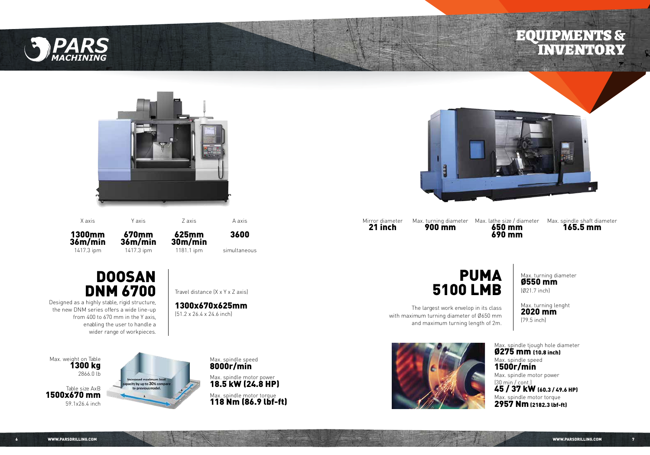Mirror diameter 21 inch





X axis

1300mm 36m/min 1417.3 ipm

Max. weight on Table 1300 kg 2866.0 lb

Table size AxB 1500x670 mm 59.1x26.4 inch



**DOOSAN** DNM 6700 Designed as a highly stable, rigid structure,

> Max. spindle motor torque 118 Nm (86.9 lbf-ft)



Max. spindle tjough hole diameter Ø275 mm (10.8 inch) Max. spindle speed Max. spindle motor power

1500r/min (30 min / cont.)

45 / 37 kW (60.3 / 49.6 HP) Max. spindle motor torque 2957 Nm (2182.3 lbf-ft)

the new DNM series offers a wide line-up from 400 to 670 mm in the Y axis, enabling the user to handle a wider range of workpieces.



The largest work envelop in its class with maximum turning diameter of Ø650 mm and maximum turning length of 2m.





by up to 30% of

1300x670x625mm (51.2 x 26.4 x 24.6 inch)

Max. turning diameter Ø550 mm

(Ø21.7 inch)

Max. turning lenght

2020 mm (79.5 inch)

Z axis

625mm 30m/min 1181.1 ipm



650 mm 690 mm

Y axis

670mm 36m/min 1417.3 ipm

Max. turning diameter 900 mm

A axis

3600 simultaneous Max. spindle shaft diameter 165.5 mm



 $\mathcal{T}$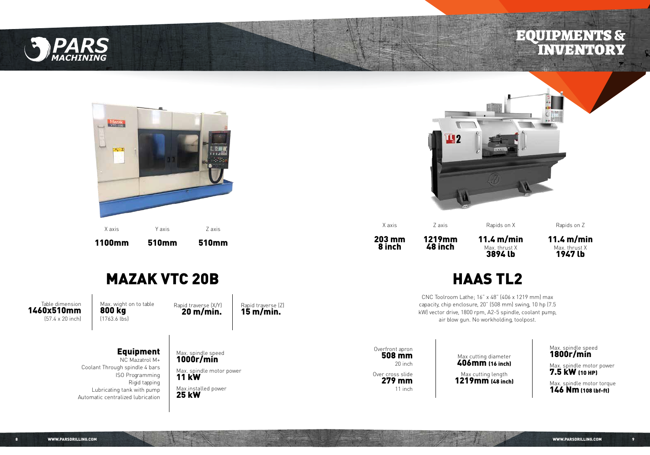

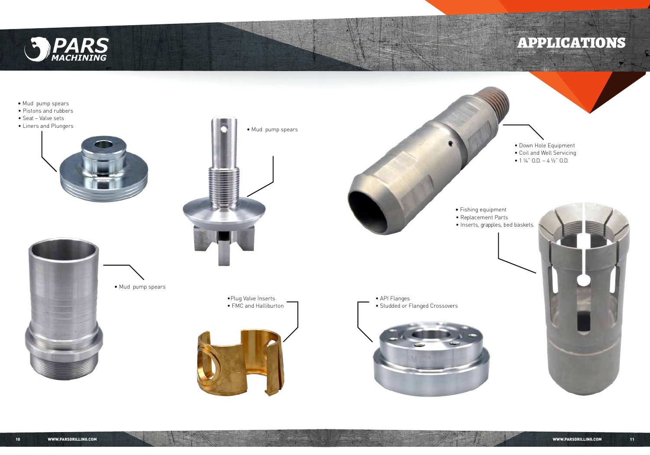



- **∫** Mud pump spears
- Pistons and rubbers
- 
- Seat Valve sets





- Down Hole Equipment
- Coil and Well Servicing
- $1\frac{1}{4}$  O.D.  $4\frac{1}{2}$  O.D.





•Plug Valve İnserts • FMC and Halliburton • API Flanges • Studded or Flanged Crossovers



**∫** Mud pump spears